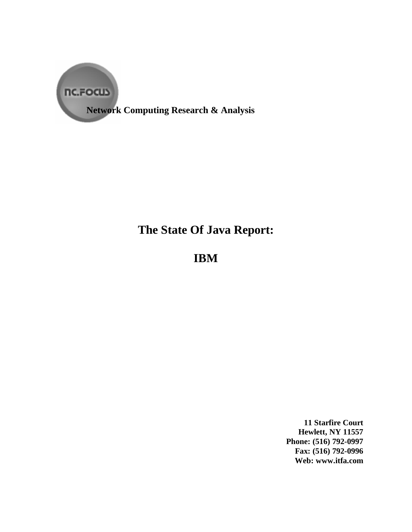

**Network Computing Research & Analysis**

# **The State Of Java Report:**

**IBM**

**11 Starfire Court Hewlett, NY 11557 Phone: (516) 792-0997 Fax: (516) 792-0996 Web: www.itfa.com**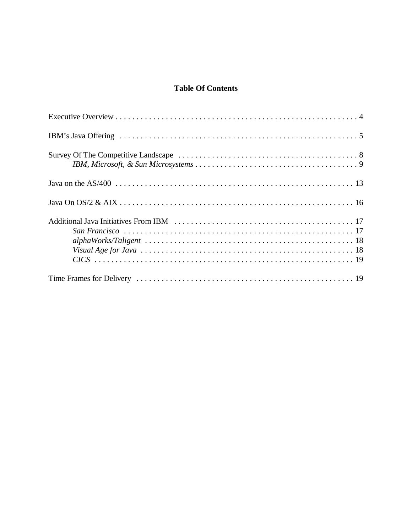# **Table Of Contents**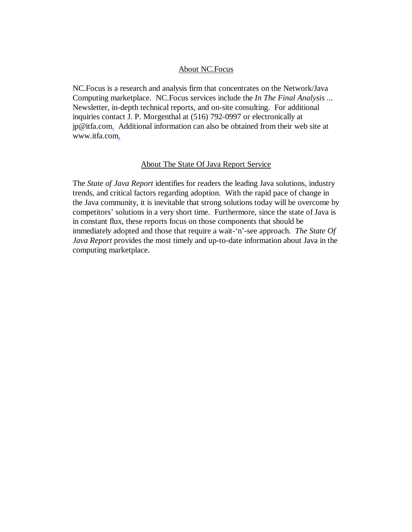#### About NC.Focus

NC.Focus is a research and analysis firm that concentrates on the Network/Java Computing marketplace. NC.Focus services include the *In The Final Analysis ...* Newsletter, in-depth technical reports, and on-site consulting. For additional inquiries contact J. P. Morgenthal at (516) 792-0997 or electronically at jp@itfa.com. Additional information can also be obtained from their web site at www.itfa.com.

#### About The State Of Java Report Service

The *State of Java Report* identifies for readers the leading Java solutions, industry trends, and critical factors regarding adoption. With the rapid pace of change in the Java community, it is inevitable that strong solutions today will be overcome by competitors' solutions in a very short time. Furthermore, since the state of Java is in constant flux, these reports focus on those components that should be immediately adopted and those that require a wait-'n'-see approach. *The State Of Java Report* provides the most timely and up-to-date information about Java in the computing marketplace.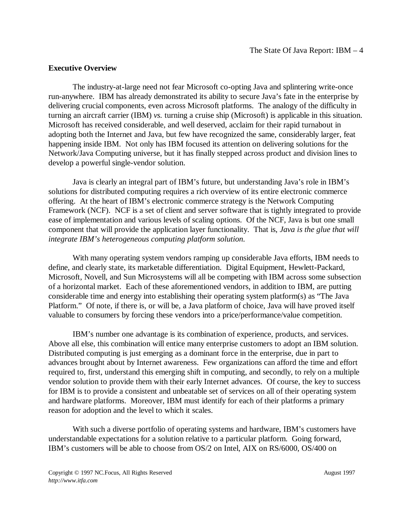#### **Executive Overview**

The industry-at-large need not fear Microsoft co-opting Java and splintering write-once run-anywhere. IBM has already demonstrated its ability to secure Java's fate in the enterprise by delivering crucial components, even across Microsoft platforms. The analogy of the difficulty in turning an aircraft carrier (IBM) *vs.* turning a cruise ship (Microsoft) is applicable in this situation. Microsoft has received considerable, and well deserved, acclaim for their rapid turnabout in adopting both the Internet and Java, but few have recognized the same, considerably larger, feat happening inside IBM. Not only has IBM focused its attention on delivering solutions for the Network/Java Computing universe, but it has finally stepped across product and division lines to develop a powerful single-vendor solution.

Java is clearly an integral part of IBM's future, but understanding Java's role in IBM's solutions for distributed computing requires a rich overview of its entire electronic commerce offering. At the heart of IBM's electronic commerce strategy is the Network Computing Framework (NCF). NCF is a set of client and server software that is tightly integrated to provide ease of implementation and various levels of scaling options. Of the NCF, Java is but one small component that will provide the application layer functionality. That is, *Java is the glue that will integrate IBM's heterogeneous computing platform solution.*

With many operating system vendors ramping up considerable Java efforts, IBM needs to define, and clearly state, its marketable differentiation. Digital Equipment, Hewlett-Packard, Microsoft, Novell, and Sun Microsystems will all be competing with IBM across some subsection of a horizontal market. Each of these aforementioned vendors, in addition to IBM, are putting considerable time and energy into establishing their operating system platform(s) as "The Java Platform." Of note, if there is, or will be, a Java platform of choice, Java will have proved itself valuable to consumers by forcing these vendors into a price/performance/value competition.

IBM's number one advantage is its combination of experience, products, and services. Above all else, this combination will entice many enterprise customers to adopt an IBM solution. Distributed computing is just emerging as a dominant force in the enterprise, due in part to advances brought about by Internet awareness. Few organizations can afford the time and effort required to, first, understand this emerging shift in computing, and secondly, to rely on a multiple vendor solution to provide them with their early Internet advances. Of course, the key to success for IBM is to provide a consistent and unbeatable set of services on all of their operating system and hardware platforms. Moreover, IBM must identify for each of their platforms a primary reason for adoption and the level to which it scales.

With such a diverse portfolio of operating systems and hardware, IBM's customers have understandable expectations for a solution relative to a particular platform. Going forward, IBM's customers will be able to choose from OS/2 on Intel, AIX on RS/6000, OS/400 on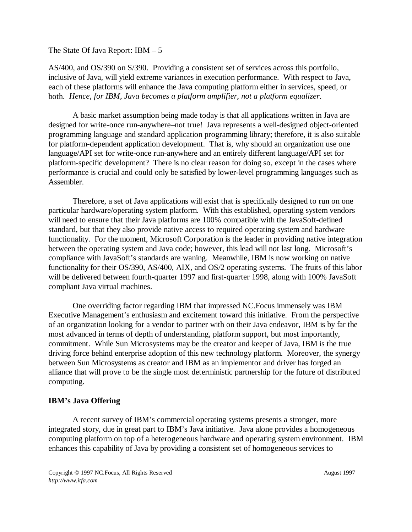AS/400, and OS/390 on S/390. Providing a consistent set of services across this portfolio, inclusive of Java, will yield extreme variances in execution performance. With respect to Java, each of these platforms will enhance the Java computing platform either in services, speed, or both. *Hence, for IBM, Java becomes a platform amplifier, not a platform equalizer*.

A basic market assumption being made today is that all applications written in Java are designed for write-once run-anywhere–not true! Java represents a well-designed object-oriented programming language and standard application programming library; therefore, it is also suitable for platform-dependent application development. That is, why should an organization use one language/API set for write-once run-anywhere and an entirely different language/API set for platform-specific development? There is no clear reason for doing so, except in the cases where performance is crucial and could only be satisfied by lower-level programming languages such as Assembler.

Therefore, a set of Java applications will exist that is specifically designed to run on one particular hardware/operating system platform. With this established, operating system vendors will need to ensure that their Java platforms are 100% compatible with the JavaSoft-defined standard, but that they also provide native access to required operating system and hardware functionality. For the moment, Microsoft Corporation is the leader in providing native integration between the operating system and Java code; however, this lead will not last long. Microsoft's compliance with JavaSoft's standards are waning. Meanwhile, IBM is now working on native functionality for their OS/390, AS/400, AIX, and OS/2 operating systems. The fruits of this labor will be delivered between fourth-quarter 1997 and first-quarter 1998, along with 100% JavaSoft compliant Java virtual machines.

One overriding factor regarding IBM that impressed NC.Focus immensely was IBM Executive Management's enthusiasm and excitement toward this initiative. From the perspective of an organization looking for a vendor to partner with on their Java endeavor, IBM is by far the most advanced in terms of depth of understanding, platform support, but most importantly, commitment. While Sun Microsystems may be the creator and keeper of Java, IBM is the true driving force behind enterprise adoption of this new technology platform. Moreover, the synergy between Sun Microsystems as creator and IBM as an implementor and driver has forged an alliance that will prove to be the single most deterministic partnership for the future of distributed computing.

### **IBM's Java Offering**

A recent survey of IBM's commercial operating systems presents a stronger, more integrated story, due in great part to IBM's Java initiative. Java alone provides a homogeneous computing platform on top of a heterogeneous hardware and operating system environment. IBM enhances this capability of Java by providing a consistent set of homogeneous services to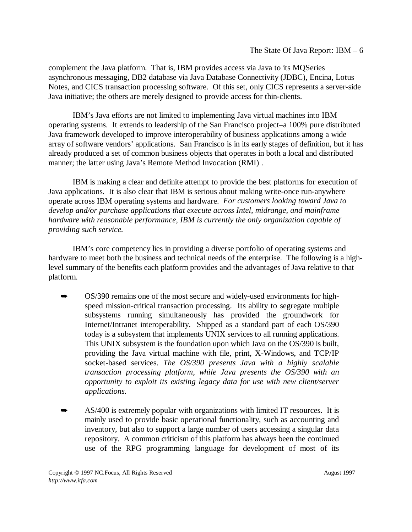complement the Java platform. That is, IBM provides access via Java to its MQSeries asynchronous messaging, DB2 database via Java Database Connectivity (JDBC), Encina, Lotus Notes, and CICS transaction processing software. Of this set, only CICS represents a server-side Java initiative; the others are merely designed to provide access for thin-clients.

IBM's Java efforts are not limited to implementing Java virtual machines into IBM operating systems. It extends to leadership of the San Francisco project–a 100% pure distributed Java framework developed to improve interoperability of business applications among a wide array of software vendors' applications. San Francisco is in its early stages of definition, but it has already produced a set of common business objects that operates in both a local and distributed manner; the latter using Java's Remote Method Invocation (RMI) .

IBM is making a clear and definite attempt to provide the best platforms for execution of Java applications. It is also clear that IBM is serious about making write-once run-anywhere operate across IBM operating systems and hardware. *For customers looking toward Java to develop and/or purchase applications that execute across Intel, midrange, and mainframe hardware with reasonable performance, IBM is currently the only organization capable of providing such service.* 

IBM's core competency lies in providing a diverse portfolio of operating systems and hardware to meet both the business and technical needs of the enterprise. The following is a highlevel summary of the benefits each platform provides and the advantages of Java relative to that platform.

- $\blacktriangleright$  OS/390 remains one of the most secure and widely-used environments for highspeed mission-critical transaction processing. Its ability to segregate multiple subsystems running simultaneously has provided the groundwork for Internet/Intranet interoperability. Shipped as a standard part of each OS/390 today is a subsystem that implements UNIX services to all running applications. This UNIX subsystem is the foundation upon which Java on the OS/390 is built, providing the Java virtual machine with file, print, X-Windows, and TCP/IP socket-based services. *The OS/390 presents Java with a highly scalable transaction processing platform, while Java presents the OS/390 with an opportunity to exploit its existing legacy data for use with new client/server applications.*
- $\blacktriangleright$  AS/400 is extremely popular with organizations with limited IT resources. It is mainly used to provide basic operational functionality, such as accounting and inventory, but also to support a large number of users accessing a singular data repository. A common criticism of this platform has always been the continued use of the RPG programming language for development of most of its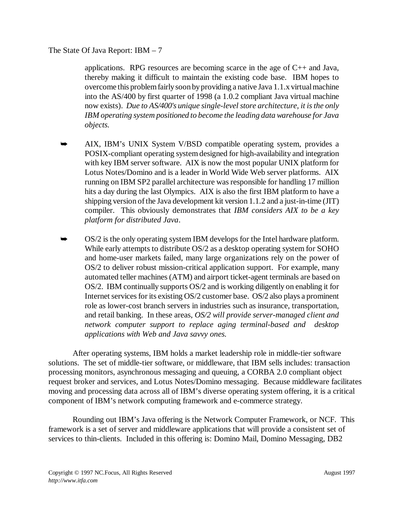applications. RPG resources are becoming scarce in the age of  $C_{++}$  and Java, thereby making it difficult to maintain the existing code base. IBM hopes to overcome this problem fairly soon by providing a native Java 1.1.x virtual machine into the AS/400 by first quarter of 1998 (a 1.0.2 compliant Java virtual machine now exists). *Due to AS/400's unique single-level store architecture, it is the only IBM operating system positioned to become the leading data warehouse for Java objects.*

- $\blacktriangleright$  AIX, IBM's UNIX System V/BSD compatible operating system, provides a POSIX-compliant operating system designed for high-availability and integration with key IBM server software. AIX is now the most popular UNIX platform for Lotus Notes/Domino and is a leader in World Wide Web server platforms. AIX running on IBM SP2 parallel architecture was responsible for handling 17 million hits a day during the last Olympics. AIX is also the first IBM platform to have a shipping version of the Java development kit version 1.1.2 and a just-in-time (JIT) compiler. This obviously demonstrates that *IBM considers AIX to be a key platform for distributed Java*.
- $\blacktriangleright$  OS/2 is the only operating system IBM develops for the Intel hardware platform. While early attempts to distribute OS/2 as a desktop operating system for SOHO and home-user markets failed, many large organizations rely on the power of OS/2 to deliver robust mission-critical application support. For example, many automated teller machines (ATM) and airport ticket-agent terminals are based on OS/2. IBM continually supports OS/2 and is working diligently on enabling it for Internet services for its existing OS/2 customer base. OS/2 also plays a prominent role as lower-cost branch servers in industries such as insurance, transportation, and retail banking. In these areas, *OS/2 will provide server-managed client and network computer support to replace aging terminal-based and desktop applications with Web and Java savvy ones.*

After operating systems, IBM holds a market leadership role in middle-tier software solutions. The set of middle-tier software, or middleware, that IBM sells includes: transaction processing monitors, asynchronous messaging and queuing, a CORBA 2.0 compliant object request broker and services, and Lotus Notes/Domino messaging. Because middleware facilitates moving and processing data across all of IBM's diverse operating system offering, it is a critical component of IBM's network computing framework and e-commerce strategy.

Rounding out IBM's Java offering is the Network Computer Framework, or NCF. This framework is a set of server and middleware applications that will provide a consistent set of services to thin-clients. Included in this offering is: Domino Mail, Domino Messaging, DB2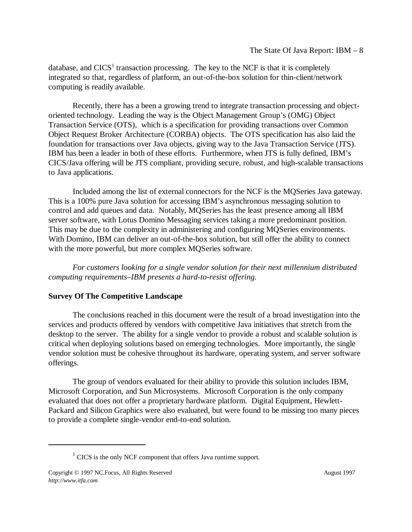database, and  $CICS<sup>1</sup>$  transaction processing. The key to the NCF is that it is completely integrated so that, regardless of platform, an out-of-the-box solution for thin-client/network computing is readily available.

Recently, there has a been a growing trend to integrate transaction processing and objectoriented technology. Leading the way is the Object Management Group's (OMG) Object Transaction Service (OTS), which is a specification for providing transactions over Common Object Request Broker Architecture (CORBA) objects. The OTS specification has also laid the foundation for transactions over Java objects, giving way to the Java Transaction Service (JTS). IBM has been a leader in both of these efforts. Furthermore, when JTS is fully defined, IBM's CICS/Java offering will be JTS compliant, providing secure, robust, and high-scalable transactions to Java applications.

Included among the list of external connectors for the NCF is the MQSeries Java gateway. This is a 100% pure Java solution for accessing IBM's asynchronous messaging solution to control and add queues and data. Notably, MQSeries has the least presence among all IBM server software, with Lotus Domino Messaging services taking a more predominant position. This may be due to the complexity in administering and configuring MQSeries environments. With Domino, IBM can deliver an out-of-the-box solution, but still offer the ability to connect with the more powerful, but more complex MQSeries software.

*For customers looking for a single vendor solution for their next millennium distributed computing requirements–IBM presents a hard-to-resist offering.*

# **Survey Of The Competitive Landscape**

The conclusions reached in this document were the result of a broad investigation into the services and products offered by vendors with competitive Java initiatives that stretch from the desktop to the server. The ability for a single vendor to provide a robust and scalable solution is critical when deploying solutions based on emerging technologies. More importantly, the single vendor solution must be cohesive throughout its hardware, operating system, and server software offerings.

The group of vendors evaluated for their ability to provide this solution includes IBM, Microsoft Corporation, and Sun Microsystems. Microsoft Corporation is the only company evaluated that does not offer a proprietary hardware platform. Digital Equipment, Hewlett-Packard and Silicon Graphics were also evaluated, but were found to be missing too many pieces to provide a complete single-vendor end-to-end solution.

 $1$  CICS is the only NCF component that offers Java runtime support.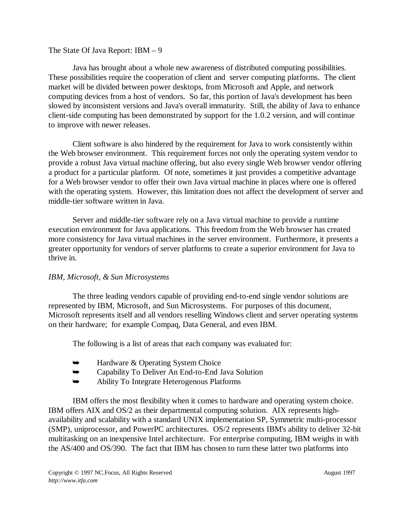Java has brought about a whole new awareness of distributed computing possibilities. These possibilities require the cooperation of client and server computing platforms. The client market will be divided between power desktops, from Microsoft and Apple, and network computing devices from a host of vendors. So far, this portion of Java's development has been slowed by inconsistent versions and Java's overall immaturity. Still, the ability of Java to enhance client-side computing has been demonstrated by support for the 1.0.2 version, and will continue to improve with newer releases.

Client software is also hindered by the requirement for Java to work consistently within the Web browser environment. This requirement forces not only the operating system vendor to provide a robust Java virtual machine offering, but also every single Web browser vendor offering a product for a particular platform. Of note, sometimes it just provides a competitive advantage for a Web browser vendor to offer their own Java virtual machine in places where one is offered with the operating system. However, this limitation does not affect the development of server and middle-tier software written in Java.

Server and middle-tier software rely on a Java virtual machine to provide a runtime execution environment for Java applications. This freedom from the Web browser has created more consistency for Java virtual machines in the server environment. Furthermore, it presents a greater opportunity for vendors of server platforms to create a superior environment for Java to thrive in.

## *IBM, Microsoft, & Sun Microsystems*

The three leading vendors capable of providing end-to-end single vendor solutions are represented by IBM, Microsoft, and Sun Microsystems. For purposes of this document, Microsoft represents itself and all vendors reselling Windows client and server operating systems on their hardware; for example Compaq, Data General, and even IBM.

The following is a list of areas that each company was evaluated for:

- $\blacktriangleright$ Hardware & Operating System Choice
- $\blacktriangleright$ Capability To Deliver An End-to-End Java Solution
- $\blacktriangleright$ Ability To Integrate Heterogenous Platforms

IBM offers the most flexibility when it comes to hardware and operating system choice. IBM offers AIX and OS/2 as their departmental computing solution. AIX represents highavailability and scalability with a standard UNIX implementation SP, Symmetric multi-processor (SMP), uniprocessor, and PowerPC architectures. OS/2 represents IBM's ability to deliver 32-bit multitasking on an inexpensive Intel architecture. For enterprise computing, IBM weighs in with the AS/400 and OS/390. The fact that IBM has chosen to turn these latter two platforms into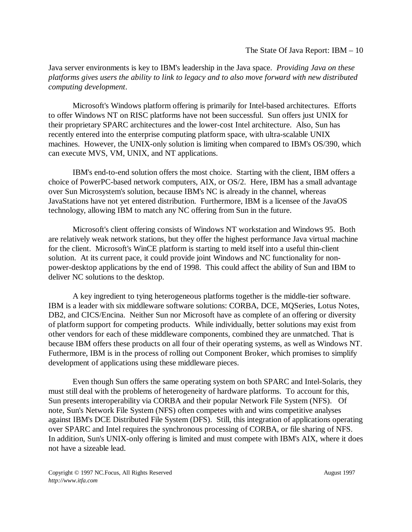Java server environments is key to IBM's leadership in the Java space. *Providing Java on these platforms gives users the ability to link to legacy and to also move forward with new distributed computing development*.

Microsoft's Windows platform offering is primarily for Intel-based architectures. Efforts to offer Windows NT on RISC platforms have not been successful. Sun offers just UNIX for their proprietary SPARC architectures and the lower-cost Intel architecture. Also, Sun has recently entered into the enterprise computing platform space, with ultra-scalable UNIX machines. However, the UNIX-only solution is limiting when compared to IBM's OS/390, which can execute MVS, VM, UNIX, and NT applications.

IBM's end-to-end solution offers the most choice. Starting with the client, IBM offers a choice of PowerPC-based network computers, AIX, or OS/2. Here, IBM has a small advantage over Sun Microsystem's solution, because IBM's NC is already in the channel, whereas JavaStations have not yet entered distribution. Furthermore, IBM is a licensee of the JavaOS technology, allowing IBM to match any NC offering from Sun in the future.

Microsoft's client offering consists of Windows NT workstation and Windows 95. Both are relatively weak network stations, but they offer the highest performance Java virtual machine for the client. Microsoft's WinCE platform is starting to meld itself into a useful thin-client solution. At its current pace, it could provide joint Windows and NC functionality for nonpower-desktop applications by the end of 1998. This could affect the ability of Sun and IBM to deliver NC solutions to the desktop.

A key ingredient to tying heterogeneous platforms together is the middle-tier software. IBM is a leader with six middleware software solutions: CORBA, DCE, MQSeries, Lotus Notes, DB2, and CICS/Encina. Neither Sun nor Microsoft have as complete of an offering or diversity of platform support for competing products. While individually, better solutions may exist from other vendors for each of these middleware components, combined they are unmatched. That is because IBM offers these products on all four of their operating systems, as well as Windows NT. Futhermore, IBM is in the process of rolling out Component Broker, which promises to simplify development of applications using these middleware pieces.

Even though Sun offers the same operating system on both SPARC and Intel-Solaris, they must still deal with the problems of heterogeneity of hardware platforms. To account for this, Sun presents interoperability via CORBA and their popular Network File System (NFS). Of note, Sun's Network File System (NFS) often competes with and wins competitive analyses against IBM's DCE Distributed File System (DFS). Still, this integration of applications operating over SPARC and Intel requires the synchronous processing of CORBA, or file sharing of NFS. In addition, Sun's UNIX-only offering is limited and must compete with IBM's AIX, where it does not have a sizeable lead.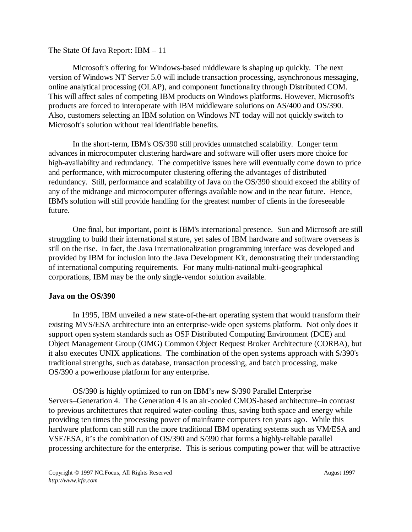Microsoft's offering for Windows-based middleware is shaping up quickly. The next version of Windows NT Server 5.0 will include transaction processing, asynchronous messaging, online analytical processing (OLAP), and component functionality through Distributed COM. This will affect sales of competing IBM products on Windows platforms. However, Microsoft's products are forced to interoperate with IBM middleware solutions on AS/400 and OS/390. Also, customers selecting an IBM solution on Windows NT today will not quickly switch to Microsoft's solution without real identifiable benefits.

In the short-term, IBM's OS/390 still provides unmatched scalability. Longer term advances in microcomputer clustering hardware and software will offer users more choice for high-availability and redundancy. The competitive issues here will eventually come down to price and performance, with microcomputer clustering offering the advantages of distributed redundancy. Still, performance and scalability of Java on the OS/390 should exceed the ability of any of the midrange and microcomputer offerings available now and in the near future. Hence, IBM's solution will still provide handling for the greatest number of clients in the foreseeable future.

One final, but important, point is IBM's international presence. Sun and Microsoft are still struggling to build their international stature, yet sales of IBM hardware and software overseas is still on the rise. In fact, the Java Internationalization programming interface was developed and provided by IBM for inclusion into the Java Development Kit, demonstrating their understanding of international computing requirements. For many multi-national multi-geographical corporations, IBM may be the only single-vendor solution available.

### **Java on the OS/390**

In 1995, IBM unveiled a new state-of-the-art operating system that would transform their existing MVS/ESA architecture into an enterprise-wide open systems platform. Not only does it support open system standards such as OSF Distributed Computing Environment (DCE) and Object Management Group (OMG) Common Object Request Broker Architecture (CORBA), but it also executes UNIX applications. The combination of the open systems approach with S/390's traditional strengths, such as database, transaction processing, and batch processing, make OS/390 a powerhouse platform for any enterprise.

OS/390 is highly optimized to run on IBM's new S/390 Parallel Enterprise Servers–Generation 4. The Generation 4 is an air-cooled CMOS-based architecture–in contrast to previous architectures that required water-cooling–thus, saving both space and energy while providing ten times the processing power of mainframe computers ten years ago. While this hardware platform can still run the more traditional IBM operating systems such as VM/ESA and VSE/ESA, it's the combination of OS/390 and S/390 that forms a highly-reliable parallel processing architecture for the enterprise. This is serious computing power that will be attractive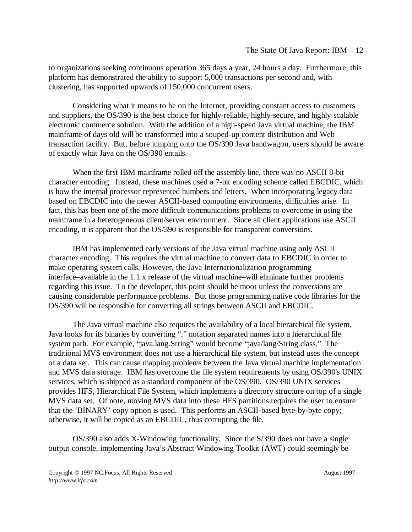to organizations seeking continuous operation 365 days a year, 24 hours a day. Furthermore, this platform has demonstrated the ability to support 5,000 transactions per second and, with clustering, has supported upwards of 150,000 concurrent users.

Considering what it means to be on the Internet, providing constant access to customers and suppliers, the OS/390 is the best choice for highly-reliable, highly-secure, and highly-scalable electronic commerce solution. With the addition of a high-speed Java virtual machine, the IBM mainframe of days old will be transformed into a souped-up content distribution and Web transaction facility. But, before jumping onto the OS/390 Java bandwagon, users should be aware of exactly what Java on the OS/390 entails.

When the first IBM mainframe rolled off the assembly line, there was no ASCII 8-bit character encoding. Instead, these machines used a 7-bit encoding scheme called EBCDIC, which is how the internal processor represented numbers and letters. When incorporating legacy data based on EBCDIC into the newer ASCII-based computing environments, difficulties arise. In fact, this has been one of the more difficult communications problems to overcome in using the mainframe in a heterogeneous client/server environment. Since all client applications use ASCII encoding, it is apparent that the OS/390 is responsible for transparent conversions.

IBM has implemented early versions of the Java virtual machine using only ASCII character encoding. This requires the virtual machine to convert data to EBCDIC in order to make operating system calls. However, the Java Internationalization programming interface–available in the 1.1.x release of the virtual machine–will eliminate further problems regarding this issue. To the developer, this point should be moot unless the conversions are causing considerable performance problems. But those programming native code libraries for the OS/390 will be responsible for converting all strings between ASCII and EBCDIC.

The Java virtual machine also requires the availability of a local hierarchical file system. Java looks for its binaries by converting "." notation separated names into a hierarchical file system path. For example, "java.lang.String" would become "java/lang/String.class." The traditional MVS environment does not use a hierarchical file system, but instead uses the concept of a data set. This can cause mapping problems between the Java virtual machine implementation and MVS data storage. IBM has overcome the file system requirements by using OS/390's UNIX services, which is shipped as a standard component of the OS/390. OS/390 UNIX services provides HFS, Hierarchical File System, which implements a directory structure on top of a single MVS data set. Of note, moving MVS data into these HFS partitions requires the user to ensure that the 'BINARY' copy option is used. This performs an ASCII-based byte-by-byte copy; otherwise, it will be copied as an EBCDIC, thus corrupting the file.

OS/390 also adds X-Windowing functionality. Since the S/390 does not have a single output console, implementing Java's Abstract Windowing Toolkit (AWT) could seemingly be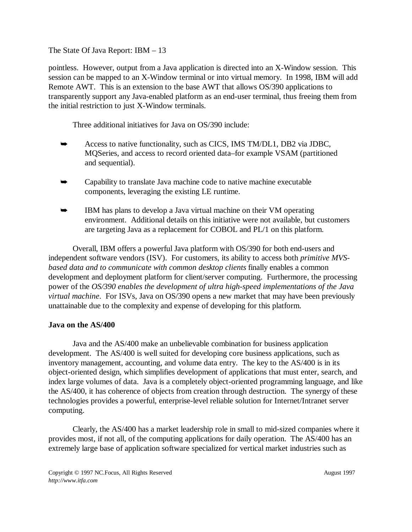pointless. However, output from a Java application is directed into an X-Window session. This session can be mapped to an X-Window terminal or into virtual memory. In 1998, IBM will add Remote AWT. This is an extension to the base AWT that allows OS/390 applications to transparently support any Java-enabled platform as an end-user terminal, thus freeing them from the initial restriction to just X-Window terminals.

Three additional initiatives for Java on OS/390 include:

- $\blacktriangleright$  Access to native functionality, such as CICS, IMS TM/DL1, DB2 via JDBC, MQSeries, and access to record oriented data–for example VSAM (partitioned and sequential).
- $\blacktriangleright$  Capability to translate Java machine code to native machine executable components, leveraging the existing LE runtime.
- $\blacktriangleright$  IBM has plans to develop a Java virtual machine on their VM operating environment. Additional details on this initiative were not available, but customers are targeting Java as a replacement for COBOL and PL/1 on this platform.

Overall, IBM offers a powerful Java platform with OS/390 for both end-users and independent software vendors (ISV). For customers, its ability to access both *primitive MVSbased data and to communicate with common desktop clients* finally enables a common development and deployment platform for client/server computing. Furthermore, the processing power of the *OS/390 enables the development of ultra high-speed implementations of the Java virtual machine*. For ISVs, Java on OS/390 opens a new market that may have been previously unattainable due to the complexity and expense of developing for this platform.

### **Java on the AS/400**

Java and the AS/400 make an unbelievable combination for business application development. The AS/400 is well suited for developing core business applications, such as inventory management, accounting, and volume data entry. The key to the AS/400 is in its object-oriented design, which simplifies development of applications that must enter, search, and index large volumes of data. Java is a completely object-oriented programming language, and like the AS/400, it has coherence of objects from creation through destruction. The synergy of these technologies provides a powerful, enterprise-level reliable solution for Internet/Intranet server computing.

Clearly, the AS/400 has a market leadership role in small to mid-sized companies where it provides most, if not all, of the computing applications for daily operation. The AS/400 has an extremely large base of application software specialized for vertical market industries such as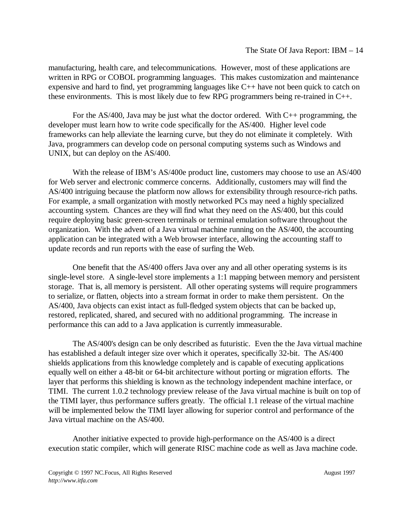manufacturing, health care, and telecommunications. However, most of these applications are written in RPG or COBOL programming languages. This makes customization and maintenance expensive and hard to find, yet programming languages like C++ have not been quick to catch on these environments. This is most likely due to few RPG programmers being re-trained in C++.

For the AS/400, Java may be just what the doctor ordered. With C++ programming, the developer must learn how to write code specifically for the AS/400. Higher level code frameworks can help alleviate the learning curve, but they do not eliminate it completely. With Java, programmers can develop code on personal computing systems such as Windows and UNIX, but can deploy on the AS/400.

With the release of IBM's AS/400e product line, customers may choose to use an AS/400 for Web server and electronic commerce concerns. Additionally, customers may will find the AS/400 intriguing because the platform now allows for extensibility through resource-rich paths. For example, a small organization with mostly networked PCs may need a highly specialized accounting system. Chances are they will find what they need on the AS/400, but this could require deploying basic green-screen terminals or terminal emulation software throughout the organization. With the advent of a Java virtual machine running on the AS/400, the accounting application can be integrated with a Web browser interface, allowing the accounting staff to update records and run reports with the ease of surfing the Web.

One benefit that the AS/400 offers Java over any and all other operating systems is its single-level store. A single-level store implements a 1:1 mapping between memory and persistent storage. That is, all memory is persistent. All other operating systems will require programmers to serialize, or flatten, objects into a stream format in order to make them persistent. On the AS/400, Java objects can exist intact as full-fledged system objects that can be backed up, restored, replicated, shared, and secured with no additional programming. The increase in performance this can add to a Java application is currently immeasurable.

The AS/400's design can be only described as futuristic. Even the the Java virtual machine has established a default integer size over which it operates, specifically 32-bit. The AS/400 shields applications from this knowledge completely and is capable of executing applications equally well on either a 48-bit or 64-bit architecture without porting or migration efforts. The layer that performs this shielding is known as the technology independent machine interface, or TIMI. The current 1.0.2 technology preview release of the Java virtual machine is built on top of the TIMI layer, thus performance suffers greatly. The official 1.1 release of the virtual machine will be implemented below the TIMI layer allowing for superior control and performance of the Java virtual machine on the AS/400.

Another initiative expected to provide high-performance on the AS/400 is a direct execution static compiler, which will generate RISC machine code as well as Java machine code.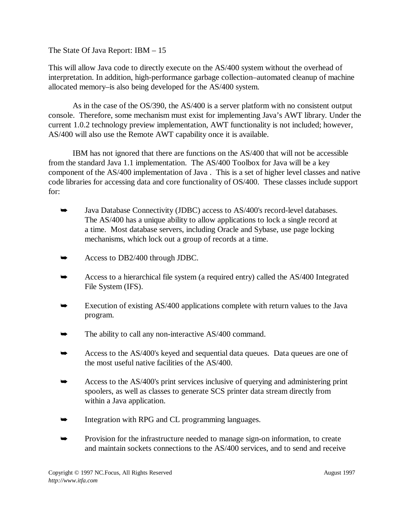This will allow Java code to directly execute on the AS/400 system without the overhead of interpretation. In addition, high-performance garbage collection–automated cleanup of machine allocated memory–is also being developed for the AS/400 system.

As in the case of the OS/390, the AS/400 is a server platform with no consistent output console. Therefore, some mechanism must exist for implementing Java's AWT library. Under the current 1.0.2 technology preview implementation, AWT functionality is not included; however, AS/400 will also use the Remote AWT capability once it is available.

IBM has not ignored that there are functions on the AS/400 that will not be accessible from the standard Java 1.1 implementation. The AS/400 Toolbox for Java will be a key component of the AS/400 implementation of Java . This is a set of higher level classes and native code libraries for accessing data and core functionality of OS/400. These classes include support for:

- $\blacktriangleright$  Java Database Connectivity (JDBC) access to AS/400's record-level databases. The AS/400 has a unique ability to allow applications to lock a single record at a time. Most database servers, including Oracle and Sybase, use page locking mechanisms, which lock out a group of records at a time.
- $\blacktriangleright$ Access to DB2/400 through JDBC.
- $\blacktriangleright$  Access to a hierarchical file system (a required entry) called the AS/400 Integrated File System (IFS).
- $\blacksquare$  Execution of existing AS/400 applications complete with return values to the Java program.
- $\blacktriangleright$ The ability to call any non-interactive AS/400 command.
- $\blacktriangleright$  Access to the AS/400's keyed and sequential data queues. Data queues are one of the most useful native facilities of the AS/400.
- $\blacktriangleright$  Access to the AS/400's print services inclusive of querying and administering print spoolers, as well as classes to generate SCS printer data stream directly from within a Java application.
- $\blacktriangleright$ Integration with RPG and CL programming languages.
- $\blacktriangleright$  Provision for the infrastructure needed to manage sign-on information, to create and maintain sockets connections to the AS/400 services, and to send and receive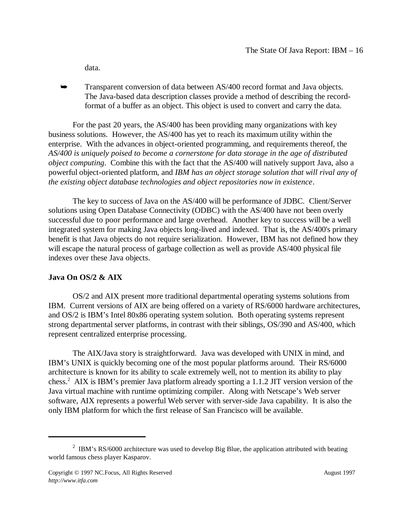data.

 $\blacktriangleright$  Transparent conversion of data between AS/400 record format and Java objects. The Java-based data description classes provide a method of describing the recordformat of a buffer as an object. This object is used to convert and carry the data.

For the past 20 years, the AS/400 has been providing many organizations with key business solutions. However, the AS/400 has yet to reach its maximum utility within the enterprise. With the advances in object-oriented programming, and requirements thereof, the *AS/400 is uniquely poised to become a cornerstone for data storage in the age of distributed object computing*. Combine this with the fact that the AS/400 will natively support Java, also a powerful object-oriented platform, and *IBM has an object storage solution that will rival any of the existing object database technologies and object repositories now in existence*.

The key to success of Java on the AS/400 will be performance of JDBC. Client/Server solutions using Open Database Connectivity (ODBC) with the AS/400 have not been overly successful due to poor performance and large overhead. Another key to success will be a well integrated system for making Java objects long-lived and indexed. That is, the AS/400's primary benefit is that Java objects do not require serialization. However, IBM has not defined how they will escape the natural process of garbage collection as well as provide AS/400 physical file indexes over these Java objects.

### **Java On OS/2 & AIX**

OS/2 and AIX present more traditional departmental operating systems solutions from IBM. Current versions of AIX are being offered on a variety of RS/6000 hardware architectures, and OS/2 is IBM's Intel 80x86 operating system solution. Both operating systems represent strong departmental server platforms, in contrast with their siblings, OS/390 and AS/400, which represent centralized enterprise processing.

The AIX/Java story is straightforward. Java was developed with UNIX in mind, and IBM's UNIX is quickly becoming one of the most popular platforms around. Their RS/6000 architecture is known for its ability to scale extremely well, not to mention its ability to play chess.<sup>2</sup> AIX is IBM's premier Java platform already sporting a 1.1.2 JIT version version of the Java virtual machine with runtime optimizing compiler. Along with Netscape's Web server software, AIX represents a powerful Web server with server-side Java capability. It is also the only IBM platform for which the first release of San Francisco will be available.

<sup>&</sup>lt;sup>2</sup> IBM's RS/6000 architecture was used to develop Big Blue, the application attributed with beating world famous chess player Kasparov.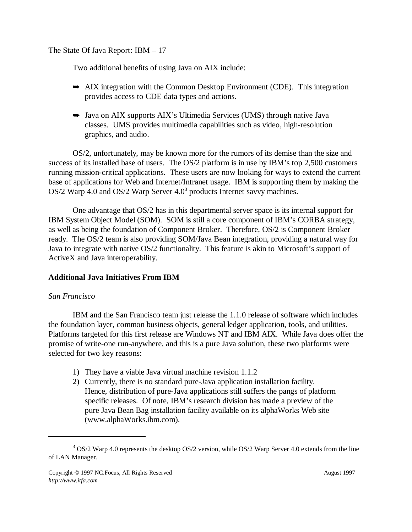Two additional benefits of using Java on AIX include:

- AIX integration with the Common Desktop Environment (CDE). This integration provides access to CDE data types and actions.
- Java on AIX supports AIX's Ultimedia Services (UMS) through native Java classes. UMS provides multimedia capabilities such as video, high-resolution graphics, and audio.

OS/2, unfortunately, may be known more for the rumors of its demise than the size and success of its installed base of users. The OS/2 platform is in use by IBM's top 2,500 customers running mission-critical applications. These users are now looking for ways to extend the current base of applications for Web and Internet/Intranet usage. IBM is supporting them by making the OS/2 Warp 4.0 and OS/2 Warp Server  $4.0<sup>3</sup>$  products Internet savvy machines.

One advantage that OS/2 has in this departmental server space is its internal support for IBM System Object Model (SOM). SOM is still a core component of IBM's CORBA strategy, as well as being the foundation of Component Broker. Therefore, OS/2 is Component Broker ready. The OS/2 team is also providing SOM/Java Bean integration, providing a natural way for Java to integrate with native OS/2 functionality. This feature is akin to Microsoft's support of ActiveX and Java interoperability.

## **Additional Java Initiatives From IBM**

## *San Francisco*

IBM and the San Francisco team just release the 1.1.0 release of software which includes the foundation layer, common business objects, general ledger application, tools, and utilities. Platforms targeted for this first release are Windows NT and IBM AIX. While Java does offer the promise of write-one run-anywhere, and this is a pure Java solution, these two platforms were selected for two key reasons:

- 1) They have a viable Java virtual machine revision 1.1.2
- 2) Currently, there is no standard pure-Java application installation facility. Hence, distribution of pure-Java applications still suffers the pangs of platform specific releases. Of note, IBM's research division has made a preview of the pure Java Bean Bag installation facility available on its alphaWorks Web site (www.alphaWorks.ibm.com).

 $3$  OS/2 Warp 4.0 represents the desktop OS/2 version, while OS/2 Warp Server 4.0 extends from the line of LAN Manager.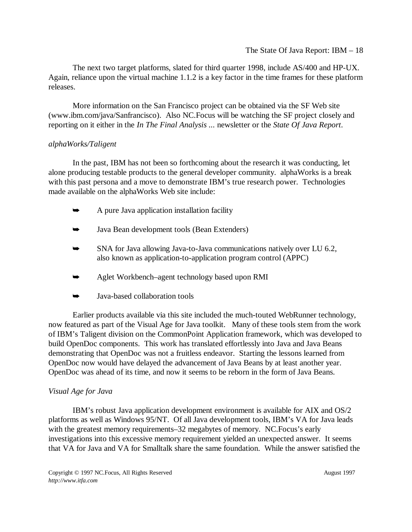The next two target platforms, slated for third quarter 1998, include AS/400 and HP-UX. Again, reliance upon the virtual machine 1.1.2 is a key factor in the time frames for these platform releases.

More information on the San Francisco project can be obtained via the SF Web site (www.ibm.com/java/Sanfrancisco). Also NC.Focus will be watching the SF project closely and reporting on it either in the *In The Final Analysis ...* newsletter or the *State Of Java Report*.

## *alphaWorks/Taligent*

In the past, IBM has not been so forthcoming about the research it was conducting, let alone producing testable products to the general developer community. alphaWorks is a break with this past persona and a move to demonstrate IBM's true research power. Technologies made available on the alphaWorks Web site include:

- $\blacktriangleright$ A pure Java application installation facility
- $\blacksquare$ Java Bean development tools (Bean Extenders)
- $\blacktriangleright$  SNA for Java allowing Java-to-Java communications natively over LU 6.2, also known as application-to-application program control (APPC)
- $\blacktriangleright$ Aglet Workbench–agent technology based upon RMI
- $\blacktriangleright$ Java-based collaboration tools

Earlier products available via this site included the much-touted WebRunner technology, now featured as part of the Visual Age for Java toolkit. Many of these tools stem from the work of IBM's Taligent division on the CommonPoint Application framework, which was developed to build OpenDoc components. This work has translated effortlessly into Java and Java Beans demonstrating that OpenDoc was not a fruitless endeavor. Starting the lessons learned from OpenDoc now would have delayed the advancement of Java Beans by at least another year. OpenDoc was ahead of its time, and now it seems to be reborn in the form of Java Beans.

### *Visual Age for Java*

IBM's robust Java application development environment is available for AIX and OS/2 platforms as well as Windows 95/NT. Of all Java development tools, IBM's VA for Java leads with the greatest memory requirements–32 megabytes of memory. NC. Focus's early investigations into this excessive memory requirement yielded an unexpected answer. It seems that VA for Java and VA for Smalltalk share the same foundation. While the answer satisfied the